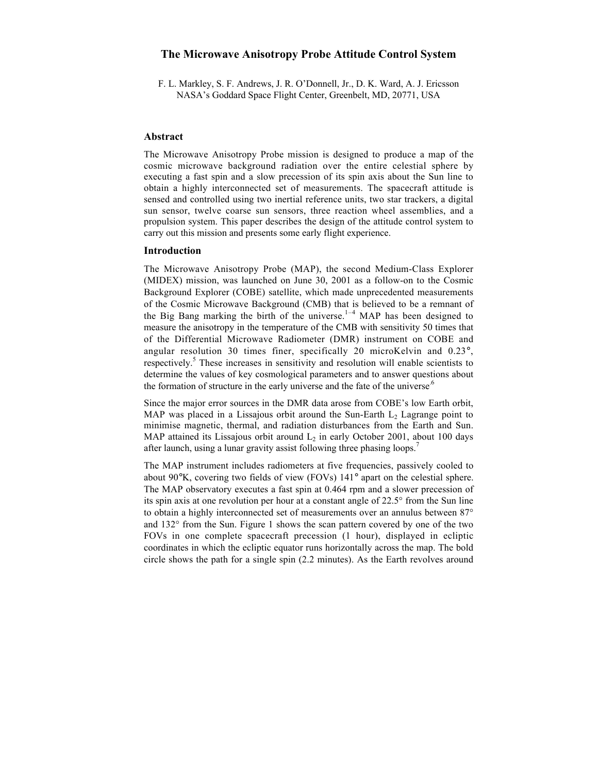# **The Microwave Anisotropy Probe Attitude Control System**

F. L. Markley, S. F. Andrews, J. R. O'Donnell, Jr., D. K. Ward, A. J. Ericsson NASA's Goddard Space Flight Center, Greenbelt, MD, 20771, USA

## **Abstract**

The Microwave Anisotropy Probe mission is designed to produce a map of the cosmic microwave background radiation over the entire celestial sphere by executing a fast spin and a slow precession of its spin axis about the Sun line to obtain a highly interconnected set of measurements. The spacecraft attitude is sensed and controlled using two inertial reference units, two star trackers, a digital sun sensor, twelve coarse sun sensors, three reaction wheel assemblies, and a propulsion system. This paper describes the design of the attitude control system to carry out this mission and presents some early flight experience.

## **Introduction**

The Microwave Anisotropy Probe (MAP), the second Medium-Class Explorer (MIDEX) mission, was launched on June 30, 2001 as a follow-on to the Cosmic Background Explorer (COBE) satellite, which made unprecedented measurements of the Cosmic Microwave Background (CMB) that is believed to be a remnant of the Big Bang marking the birth of the universe.<sup>1-4</sup> MAP has been designed to measure the anisotropy in the temperature of the CMB with sensitivity 50 times that of the Differential Microwave Radiometer (DMR) instrument on COBE and angular resolution 30 times finer, specifically 20 microKelvin and 0.23°, respectively.<sup>5</sup> These increases in sensitivity and resolution will enable scientists to determine the values of key cosmological parameters and to answer questions about the formation of structure in the early universe and the fate of the universe.<sup>6</sup>

Since the major error sources in the DMR data arose from COBE's low Earth orbit, MAP was placed in a Lissajous orbit around the Sun-Earth  $L_2$  Lagrange point to minimise magnetic, thermal, and radiation disturbances from the Earth and Sun. MAP attained its Lissajous orbit around  $L_2$  in early October 2001, about 100 days after launch, using a lunar gravity assist following three phasing loops.<sup>7</sup>

The MAP instrument includes radiometers at five frequencies, passively cooled to about 90°K, covering two fields of view (FOVs) 141° apart on the celestial sphere. The MAP observatory executes a fast spin at 0.464 rpm and a slower precession of its spin axis at one revolution per hour at a constant angle of 22.5° from the Sun line to obtain a highly interconnected set of measurements over an annulus between 87° and 132° from the Sun. Figure 1 shows the scan pattern covered by one of the two FOVs in one complete spacecraft precession (1 hour), displayed in ecliptic coordinates in which the ecliptic equator runs horizontally across the map. The bold circle shows the path for a single spin (2.2 minutes). As the Earth revolves around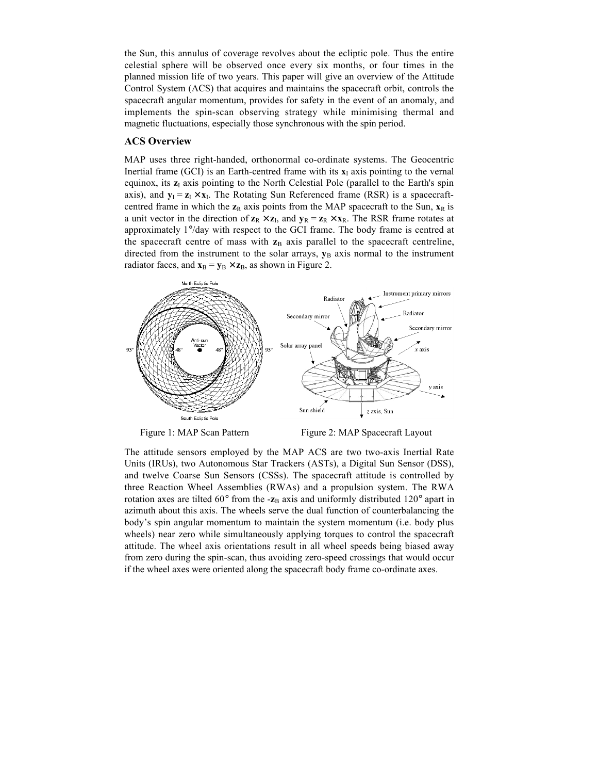the Sun, this annulus of coverage revolves about the ecliptic pole. Thus the entire celestial sphere will be observed once every six months, or four times in the planned mission life of two years. This paper will give an overview of the Attitude Control System (ACS) that acquires and maintains the spacecraft orbit, controls the spacecraft angular momentum, provides for safety in the event of an anomaly, and implements the spin-scan observing strategy while minimising thermal and magnetic fluctuations, especially those synchronous with the spin period.

## **ACS Overview**

MAP uses three right-handed, orthonormal co-ordinate systems. The Geocentric Inertial frame (GCI) is an Earth-centred frame with its  $x<sub>I</sub>$  axis pointing to the vernal equinox, its  $z<sub>I</sub>$  axis pointing to the North Celestial Pole (parallel to the Earth's spin axis), and  $\mathbf{v}_I = \mathbf{z}_I \times \mathbf{x}_I$ . The Rotating Sun Referenced frame (RSR) is a spacecraftcentred frame in which the  $z_R$  axis points from the MAP spacecraft to the Sun,  $x_R$  is a unit vector in the direction of  $z_R \times z_I$ , and  $y_R = z_R \times x_R$ . The RSR frame rotates at approximately 1°/day with respect to the GCI frame. The body frame is centred at the spacecraft centre of mass with  $z_B$  axis parallel to the spacecraft centreline, directed from the instrument to the solar arrays,  $y_B$  axis normal to the instrument radiator faces, and  $\mathbf{x}_B = \mathbf{y}_B \times \mathbf{z}_B$ , as shown in Figure 2.



Figure 1: MAP Scan Pattern Figure 2: MAP Spacecraft Layout

The attitude sensors employed by the MAP ACS are two two-axis Inertial Rate Units (IRUs), two Autonomous Star Trackers (ASTs), a Digital Sun Sensor (DSS), and twelve Coarse Sun Sensors (CSSs). The spacecraft attitude is controlled by three Reaction Wheel Assemblies (RWAs) and a propulsion system. The RWA rotation axes are tilted  $60^{\circ}$  from the - $\mathbf{z}_B$  axis and uniformly distributed 120° apart in azimuth about this axis. The wheels serve the dual function of counterbalancing the body's spin angular momentum to maintain the system momentum (i.e. body plus wheels) near zero while simultaneously applying torques to control the spacecraft attitude. The wheel axis orientations result in all wheel speeds being biased away from zero during the spin-scan, thus avoiding zero-speed crossings that would occur if the wheel axes were oriented along the spacecraft body frame co-ordinate axes.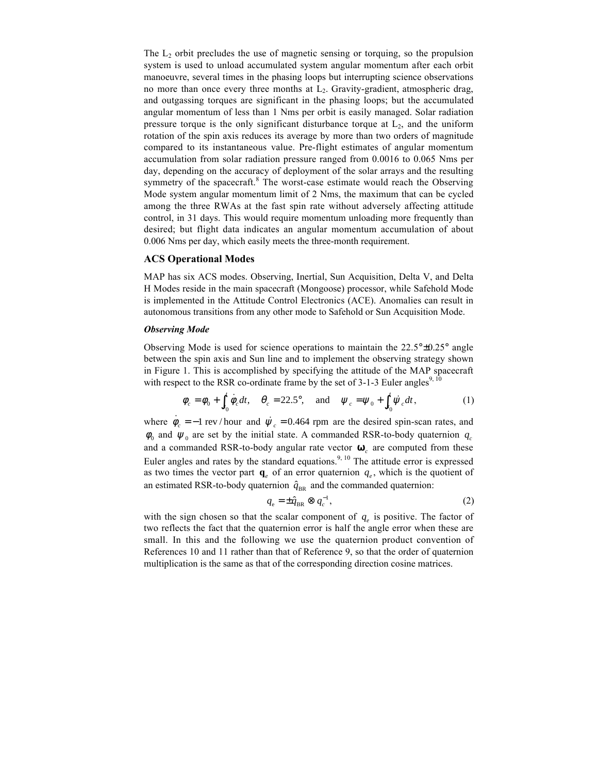The  $L_2$  orbit precludes the use of magnetic sensing or torquing, so the propulsion system is used to unload accumulated system angular momentum after each orbit manoeuvre, several times in the phasing loops but interrupting science observations no more than once every three months at  $L_2$ . Gravity-gradient, atmospheric drag, and outgassing torques are significant in the phasing loops; but the accumulated angular momentum of less than 1 Nms per orbit is easily managed. Solar radiation pressure torque is the only significant disturbance torque at  $L<sub>2</sub>$ , and the uniform rotation of the spin axis reduces its average by more than two orders of magnitude compared to its instantaneous value. Pre-flight estimates of angular momentum accumulation from solar radiation pressure ranged from 0.0016 to 0.065 Nms per day, depending on the accuracy of deployment of the solar arrays and the resulting symmetry of the spacecraft.<sup>8</sup> The worst-case estimate would reach the Observing Mode system angular momentum limit of 2 Nms, the maximum that can be cycled among the three RWAs at the fast spin rate without adversely affecting attitude control, in 31 days. This would require momentum unloading more frequently than desired; but flight data indicates an angular momentum accumulation of about 0.006 Nms per day, which easily meets the three-month requirement.

## **ACS Operational Modes**

MAP has six ACS modes. Observing, Inertial, Sun Acquisition, Delta V, and Delta H Modes reside in the main spacecraft (Mongoose) processor, while Safehold Mode is implemented in the Attitude Control Electronics (ACE). Anomalies can result in autonomous transitions from any other mode to Safehold or Sun Acquisition Mode.

#### *Observing Mode*

Observing Mode is used for science operations to maintain the  $22.5^{\circ} \pm 0.25^{\circ}$  angle between the spin axis and Sun line and to implement the observing strategy shown in Figure 1. This is accomplished by specifying the attitude of the MAP spacecraft with respect to the RSR co-ordinate frame by the set of  $3-1-3$  Euler angles<sup>9, 10</sup>

$$
\phi_c = \phi_0 + \int_{t_0}^t \dot{\phi}_c dt, \quad \theta_c = 22.5^\circ, \quad \text{and} \quad \psi_c = \psi_0 + \int_{t_0}^t \dot{\psi}_c dt,
$$
 (1)

where  $\dot{\phi}_c = -1$  rev / hour and  $\dot{\psi}_c = 0.464$  rpm are the desired spin-scan rates, and  $\phi_0$  and  $\psi_0$  are set by the initial state. A commanded RSR-to-body quaternion  $q_c$ and a commanded RSR-to-body angular rate vector ω*c* are computed from these Euler angles and rates by the standard equations.<sup>9, 10</sup> The attitude error is expressed as two times the vector part  $\mathbf{q}_e$  of an error quaternion  $q_e$ , which is the quotient of an estimated RSR-to-body quaternion  $\hat{q}_{BR}$  and the commanded quaternion:

$$
q_{\rm e} = \pm \hat{q}_{\rm BR} \otimes q_{\rm c}^{-1},\tag{2}
$$

with the sign chosen so that the scalar component of  $q_e$  is positive. The factor of two reflects the fact that the quaternion error is half the angle error when these are small. In this and the following we use the quaternion product convention of References 10 and 11 rather than that of Reference 9, so that the order of quaternion multiplication is the same as that of the corresponding direction cosine matrices.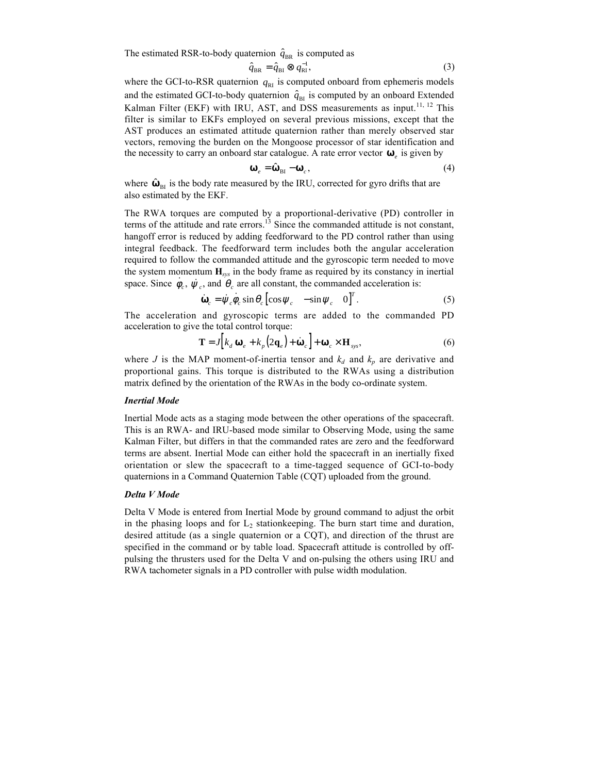The estimated RSR-to-body quaternion  $\hat{q}_{BR}$  is computed as

$$
\hat{q}_{\text{BR}} = \hat{q}_{\text{BI}} \otimes q_{\text{RI}}^{-1},\tag{3}
$$

where the GCI-to-RSR quaternion  $q_{RI}$  is computed onboard from ephemeris models and the estimated GCI-to-body quaternion  $\hat{q}_{BI}$  is computed by an onboard Extended Kalman Filter (EKF) with IRU, AST, and DSS measurements as input.<sup>11, 12</sup> This filter is similar to EKFs employed on several previous missions, except that the AST produces an estimated attitude quaternion rather than merely observed star vectors, removing the burden on the Mongoose processor of star identification and the necessity to carry an onboard star catalogue. A rate error vector  $\boldsymbol{\omega}_e$  is given by

$$
\mathbf{\omega}_e = \hat{\mathbf{\omega}}_{\text{BI}} - \mathbf{\omega}_c,\tag{4}
$$

where  $\hat{\omega}_{BI}$  is the body rate measured by the IRU, corrected for gyro drifts that are also estimated by the EKF.

The RWA torques are computed by a proportional-derivative (PD) controller in terms of the attitude and rate errors.<sup>13</sup> Since the commanded attitude is not constant, hangoff error is reduced by adding feedforward to the PD control rather than using integral feedback. The feedforward term includes both the angular acceleration required to follow the commanded attitude and the gyroscopic term needed to move the system momentum **H***sys* in the body frame as required by its constancy in inertial space. Since  $\dot{\phi}_c$ ,  $\dot{\psi}_c$ , and  $\dot{\theta}_c$  are all constant, the commanded acceleration is:

$$
\dot{\mathbf{\omega}}_c = \dot{\psi}_c \dot{\phi}_c \sin \theta_c \left[ \cos \psi_c - \sin \psi_c \quad 0 \right]^T.
$$
 (5)

The acceleration and gyroscopic terms are added to the commanded PD acceleration to give the total control torque:

$$
\mathbf{T} = J \Big[ k_d \, \mathbf{\omega}_e + k_p \Big( 2 \, \mathbf{q}_e \Big) + \dot{\mathbf{\omega}}_c \Big] + \mathbf{\omega}_c \times \mathbf{H}_{\text{sys}},\tag{6}
$$

where *J* is the MAP moment-of-inertia tensor and  $k_d$  and  $k_p$  are derivative and proportional gains. This torque is distributed to the RWAs using a distribution matrix defined by the orientation of the RWAs in the body co-ordinate system.

## *Inertial Mode*

Inertial Mode acts as a staging mode between the other operations of the spacecraft. This is an RWA- and IRU-based mode similar to Observing Mode, using the same Kalman Filter, but differs in that the commanded rates are zero and the feedforward terms are absent. Inertial Mode can either hold the spacecraft in an inertially fixed orientation or slew the spacecraft to a time-tagged sequence of GCI-to-body quaternions in a Command Quaternion Table (CQT) uploaded from the ground.

#### *Delta V Mode*

Delta V Mode is entered from Inertial Mode by ground command to adjust the orbit in the phasing loops and for  $L_2$  stationkeeping. The burn start time and duration, desired attitude (as a single quaternion or a CQT), and direction of the thrust are specified in the command or by table load. Spacecraft attitude is controlled by offpulsing the thrusters used for the Delta V and on-pulsing the others using IRU and RWA tachometer signals in a PD controller with pulse width modulation.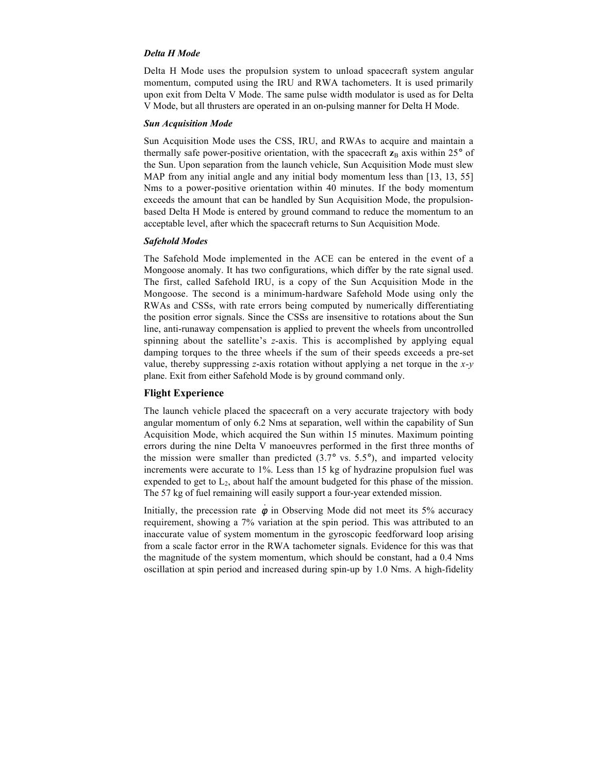## *Delta H Mode*

Delta H Mode uses the propulsion system to unload spacecraft system angular momentum, computed using the IRU and RWA tachometers. It is used primarily upon exit from Delta V Mode. The same pulse width modulator is used as for Delta V Mode, but all thrusters are operated in an on-pulsing manner for Delta H Mode.

## *Sun Acquisition Mode*

Sun Acquisition Mode uses the CSS, IRU, and RWAs to acquire and maintain a thermally safe power-positive orientation, with the spacecraft  $z_B$  axis within 25 $\degree$  of the Sun. Upon separation from the launch vehicle, Sun Acquisition Mode must slew MAP from any initial angle and any initial body momentum less than [13, 13, 55] Nms to a power-positive orientation within 40 minutes. If the body momentum exceeds the amount that can be handled by Sun Acquisition Mode, the propulsionbased Delta H Mode is entered by ground command to reduce the momentum to an acceptable level, after which the spacecraft returns to Sun Acquisition Mode.

### *Safehold Modes*

The Safehold Mode implemented in the ACE can be entered in the event of a Mongoose anomaly. It has two configurations, which differ by the rate signal used. The first, called Safehold IRU, is a copy of the Sun Acquisition Mode in the Mongoose. The second is a minimum-hardware Safehold Mode using only the RWAs and CSSs, with rate errors being computed by numerically differentiating the position error signals. Since the CSSs are insensitive to rotations about the Sun line, anti-runaway compensation is applied to prevent the wheels from uncontrolled spinning about the satellite's *z*-axis. This is accomplished by applying equal damping torques to the three wheels if the sum of their speeds exceeds a pre-set value, thereby suppressing *z*-axis rotation without applying a net torque in the *x-y* plane. Exit from either Safehold Mode is by ground command only.

## **Flight Experience**

The launch vehicle placed the spacecraft on a very accurate trajectory with body angular momentum of only 6.2 Nms at separation, well within the capability of Sun Acquisition Mode, which acquired the Sun within 15 minutes. Maximum pointing errors during the nine Delta V manoeuvres performed in the first three months of the mission were smaller than predicted  $(3.7^{\circ}$  vs.  $5.5^{\circ})$ , and imparted velocity increments were accurate to 1%. Less than 15 kg of hydrazine propulsion fuel was expended to get to  $L<sub>2</sub>$ , about half the amount budgeted for this phase of the mission. The 57 kg of fuel remaining will easily support a four-year extended mission.

Initially, the precession rate  $\dot{\phi}$  in Observing Mode did not meet its 5% accuracy requirement, showing a 7% variation at the spin period. This was attributed to an inaccurate value of system momentum in the gyroscopic feedforward loop arising from a scale factor error in the RWA tachometer signals. Evidence for this was that the magnitude of the system momentum, which should be constant, had a 0.4 Nms oscillation at spin period and increased during spin-up by 1.0 Nms. A high-fidelity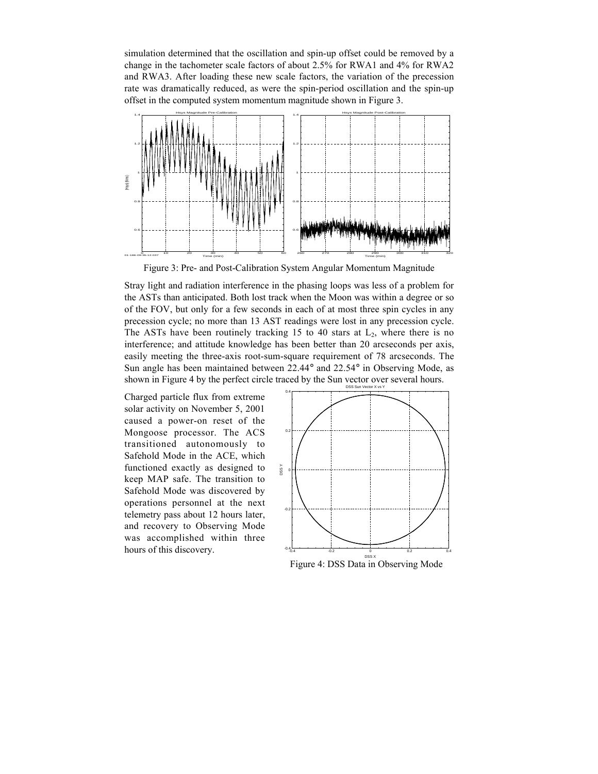simulation determined that the oscillation and spin-up offset could be removed by a change in the tachometer scale factors of about 2.5% for RWA1 and 4% for RWA2 and RWA3. After loading these new scale factors, the variation of the precession rate was dramatically reduced, as were the spin-period oscillation and the spin-up offset in the computed system momentum magnitude shown in Figure 3.



Figure 3: Pre- and Post-Calibration System Angular Momentum Magnitude

Stray light and radiation interference in the phasing loops was less of a problem for the ASTs than anticipated. Both lost track when the Moon was within a degree or so of the FOV, but only for a few seconds in each of at most three spin cycles in any precession cycle; no more than 13 AST readings were lost in any precession cycle. The ASTs have been routinely tracking 15 to 40 stars at  $L_2$ , where there is no interference; and attitude knowledge has been better than 20 arcseconds per axis, easily meeting the three-axis root-sum-square requirement of 78 arcseconds. The Sun angle has been maintained between 22.44° and 22.54° in Observing Mode, as shown in Figure 4 by the perfect circle traced by the Sun vector over several hours.

Charged particle flux from extreme solar activity on November 5, 2001 caused a power-on reset of the Mongoose processor. The ACS transitioned autonomously to Safehold Mode in the ACE, which functioned exactly as designed to keep MAP safe. The transition to Safehold Mode was discovered by operations personnel at the next telemetry pass about 12 hours later, and recovery to Observing Mode was accomplished within three hours of this discovery.



Figure 4: DSS Data in Observing Mode